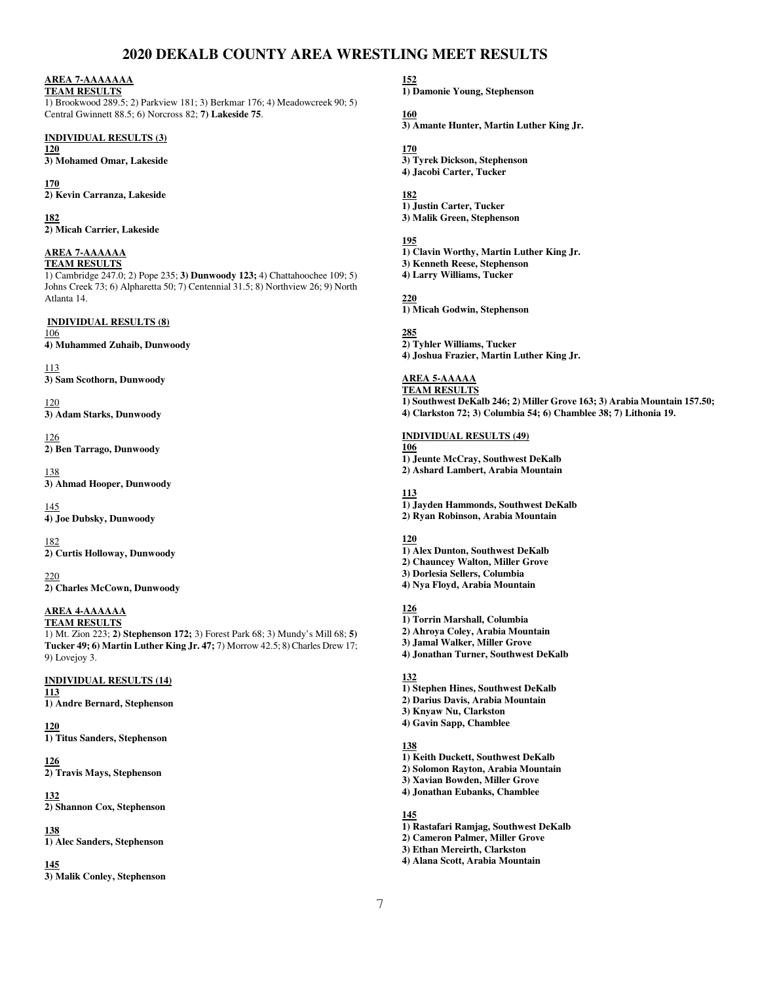# **2020 DEKALB COUNTY AREA WRESTLING MEET RESULTS**

# **AREA 7-AAAAAAA**

**TEAM RESULTS** 1) Brookwood 289.5; 2) Parkview 181; 3) Berkmar 176; 4) Meadowcreek 90; 5) Central Gwinnett 88.5; 6) Norcross 82; **7) Lakeside 75**.

# **INDIVIDUAL RESULTS (3)**

**120 3) Mohamed Omar, Lakeside** 

**170 2) Kevin Carranza, Lakeside** 

**182 2) Micah Carrier, Lakeside** 

#### **AREA 7-AAAAAA TEAM RESULTS**

1) Cambridge 247.0; 2) Pope 235; **3) Dunwoody 123;** 4) Chattahoochee 109; 5) Johns Creek 73; 6) Alpharetta 50; 7) Centennial 31.5; 8) Northview 26; 9) North Atlanta 14.

### **INDIVIDUAL RESULTS (8)**

106 **4) Muhammed Zuhaib, Dunwoody** 

# 113

**3) Sam Scothorn, Dunwoody** 

120 **3) Adam Starks, Dunwoody** 

126 **2) Ben Tarrago, Dunwoody** 

138 **3) Ahmad Hooper, Dunwoody** 

145 **4) Joe Dubsky, Dunwoody** 

182 **2) Curtis Holloway, Dunwoody** 

220 **2) Charles McCown, Dunwoody** 

#### **AREA 4-AAAAAA TEAM RESULTS**

1) Mt. Zion 223; **2) Stephenson 172;** 3) Forest Park 68; 3) Mundy's Mill 68; **5) Tucker 49; 6) Martin Luther King Jr. 47;** 7) Morrow 42.5; 8) Charles Drew 17; 9) Lovejoy 3.

# **INDIVIDUAL RESULTS (14)**

**113 1) Andre Bernard, Stephenson** 

**120**

**1) Titus Sanders, Stephenson** 

#### **126 2) Travis Mays, Stephenson**

**132** 

**2) Shannon Cox, Stephenson** 

# **138**

**1) Alec Sanders, Stephenson** 

# **145**

**3) Malik Conley, Stephenson** 

**152** 

**1) Damonie Young, Stephenson** 

# **160**

**3) Amante Hunter, Martin Luther King Jr.** 

# **170**

**3) Tyrek Dickson, Stephenson 4) Jacobi Carter, Tucker** 

# **182**

**1) Justin Carter, Tucker 3) Malik Green, Stephenson** 

# **195**

**1) Clavin Worthy, Martin Luther King Jr. 3) Kenneth Reese, Stephenson 4) Larry Williams, Tucker** 

# **220**

**1) Micah Godwin, Stephenson** 

# **285**

**2) Tyhler Williams, Tucker 4) Joshua Frazier, Martin Luther King Jr.** 

# **AREA 5-AAAAA**

**TEAM RESULTS 1) Southwest DeKalb 246; 2) Miller Grove 163; 3) Arabia Mountain 157.50; 4) Clarkston 72; 3) Columbia 54; 6) Chamblee 38; 7) Lithonia 19.**

# **INDIVIDUAL RESULTS (49)**

**106** 

**1) Jeunte McCray, Southwest DeKalb 2) Ashard Lambert, Arabia Mountain** 

## **113**

**1) Jayden Hammonds, Southwest DeKalb 2) Ryan Robinson, Arabia Mountain** 

# **120**

**1) Alex Dunton, Southwest DeKalb 2) Chauncey Walton, Miller Grove 3) Dorlesia Sellers, Columbia 4) Nya Floyd, Arabia Mountain** 

### **126**

- **1) Torrin Marshall, Columbia**
- **2) Ahroya Coley, Arabia Mountain**
- **3) Jamal Walker, Miller Grove**
- **4) Jonathan Turner, Southwest DeKalb**

# **132**

- **1) Stephen Hines, Southwest DeKalb**
- **2) Darius Davis, Arabia Mountain**
- **3) Knyaw Nu, Clarkston 4) Gavin Sapp, Chamblee**

# **138**

- **1) Keith Duckett, Southwest DeKalb**
- **2) Solomon Rayton, Arabia Mountain**
- **3) Xavian Bowden, Miller Grove 4) Jonathan Eubanks, Chamblee** 
	-

# **145**

- **1) Rastafari Ramjag, Southwest DeKalb**
- **2) Cameron Palmer, Miller Grove**
- **3) Ethan Mereirth, Clarkston**
- **4) Alana Scott, Arabia Mountain**